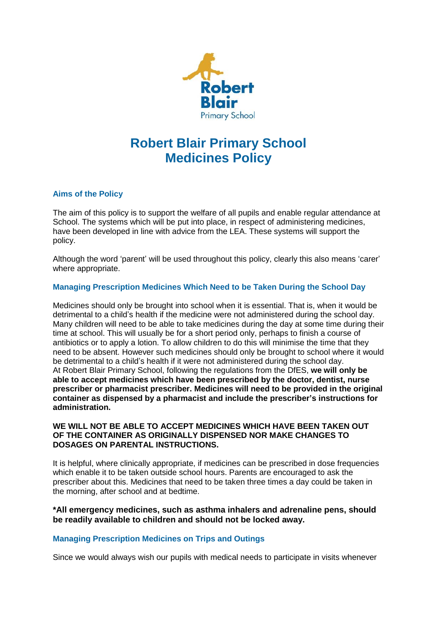

# **Robert Blair Primary School Medicines Policy**

# **Aims of the Policy**

The aim of this policy is to support the welfare of all pupils and enable regular attendance at School. The systems which will be put into place, in respect of administering medicines, have been developed in line with advice from the LEA. These systems will support the policy.

Although the word 'parent' will be used throughout this policy, clearly this also means 'carer' where appropriate.

# **Managing Prescription Medicines Which Need to be Taken During the School Day**

Medicines should only be brought into school when it is essential. That is, when it would be detrimental to a child's health if the medicine were not administered during the school day. Many children will need to be able to take medicines during the day at some time during their time at school. This will usually be for a short period only, perhaps to finish a course of antibiotics or to apply a lotion. To allow children to do this will minimise the time that they need to be absent. However such medicines should only be brought to school where it would be detrimental to a child's health if it were not administered during the school day. At Robert Blair Primary School, following the regulations from the DfES, **we will only be able to accept medicines which have been prescribed by the doctor, dentist, nurse prescriber or pharmacist prescriber. Medicines will need to be provided in the original container as dispensed by a pharmacist and include the prescriber's instructions for administration.**

# **WE WILL NOT BE ABLE TO ACCEPT MEDICINES WHICH HAVE BEEN TAKEN OUT OF THE CONTAINER AS ORIGINALLY DISPENSED NOR MAKE CHANGES TO DOSAGES ON PARENTAL INSTRUCTIONS.**

It is helpful, where clinically appropriate, if medicines can be prescribed in dose frequencies which enable it to be taken outside school hours. Parents are encouraged to ask the prescriber about this. Medicines that need to be taken three times a day could be taken in the morning, after school and at bedtime.

# **\*All emergency medicines, such as asthma inhalers and adrenaline pens, should be readily available to children and should not be locked away.**

# **Managing Prescription Medicines on Trips and Outings**

Since we would always wish our pupils with medical needs to participate in visits whenever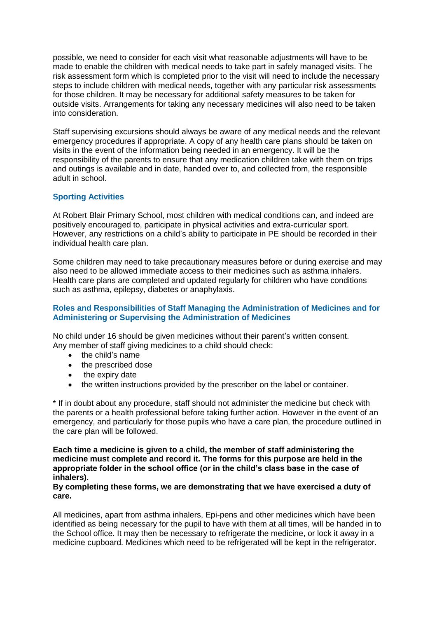possible, we need to consider for each visit what reasonable adjustments will have to be made to enable the children with medical needs to take part in safely managed visits. The risk assessment form which is completed prior to the visit will need to include the necessary steps to include children with medical needs, together with any particular risk assessments for those children. It may be necessary for additional safety measures to be taken for outside visits. Arrangements for taking any necessary medicines will also need to be taken into consideration.

Staff supervising excursions should always be aware of any medical needs and the relevant emergency procedures if appropriate. A copy of any health care plans should be taken on visits in the event of the information being needed in an emergency. It will be the responsibility of the parents to ensure that any medication children take with them on trips and outings is available and in date, handed over to, and collected from, the responsible adult in school.

# **Sporting Activities**

At Robert Blair Primary School, most children with medical conditions can, and indeed are positively encouraged to, participate in physical activities and extra-curricular sport. However, any restrictions on a child's ability to participate in PE should be recorded in their individual health care plan.

Some children may need to take precautionary measures before or during exercise and may also need to be allowed immediate access to their medicines such as asthma inhalers. Health care plans are completed and updated regularly for children who have conditions such as asthma, epilepsy, diabetes or anaphylaxis.

#### **Roles and Responsibilities of Staff Managing the Administration of Medicines and for Administering or Supervising the Administration of Medicines**

No child under 16 should be given medicines without their parent's written consent. Any member of staff giving medicines to a child should check:

- the child's name
- the prescribed dose
- the expiry date
- the written instructions provided by the prescriber on the label or container.

\* If in doubt about any procedure, staff should not administer the medicine but check with the parents or a health professional before taking further action. However in the event of an emergency, and particularly for those pupils who have a care plan, the procedure outlined in the care plan will be followed.

**Each time a medicine is given to a child, the member of staff administering the medicine must complete and record it. The forms for this purpose are held in the appropriate folder in the school office (or in the child's class base in the case of inhalers).** 

#### **By completing these forms, we are demonstrating that we have exercised a duty of care.**

All medicines, apart from asthma inhalers, Epi-pens and other medicines which have been identified as being necessary for the pupil to have with them at all times, will be handed in to the School office. It may then be necessary to refrigerate the medicine, or lock it away in a medicine cupboard. Medicines which need to be refrigerated will be kept in the refrigerator.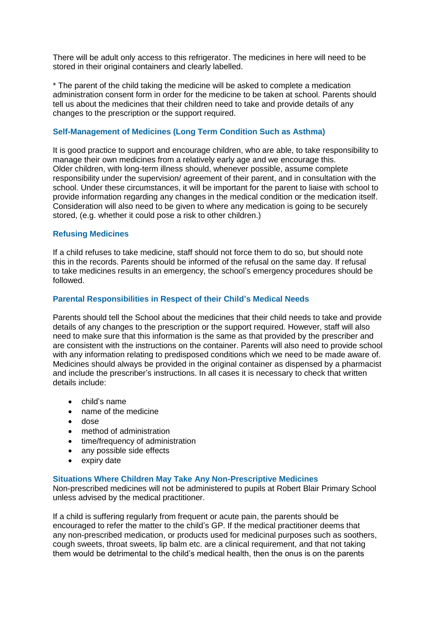There will be adult only access to this refrigerator. The medicines in here will need to be stored in their original containers and clearly labelled.

\* The parent of the child taking the medicine will be asked to complete a medication administration consent form in order for the medicine to be taken at school. Parents should tell us about the medicines that their children need to take and provide details of any changes to the prescription or the support required.

# **Self-Management of Medicines (Long Term Condition Such as Asthma)**

It is good practice to support and encourage children, who are able, to take responsibility to manage their own medicines from a relatively early age and we encourage this. Older children, with long-term illness should, whenever possible, assume complete responsibility under the supervision/ agreement of their parent, and in consultation with the school. Under these circumstances, it will be important for the parent to liaise with school to provide information regarding any changes in the medical condition or the medication itself. Consideration will also need to be given to where any medication is going to be securely stored, (e.g. whether it could pose a risk to other children.)

# **Refusing Medicines**

If a child refuses to take medicine, staff should not force them to do so, but should note this in the records. Parents should be informed of the refusal on the same day. If refusal to take medicines results in an emergency, the school's emergency procedures should be followed.

# **Parental Responsibilities in Respect of their Child's Medical Needs**

Parents should tell the School about the medicines that their child needs to take and provide details of any changes to the prescription or the support required. However, staff will also need to make sure that this information is the same as that provided by the prescriber and are consistent with the instructions on the container. Parents will also need to provide school with any information relating to predisposed conditions which we need to be made aware of. Medicines should always be provided in the original container as dispensed by a pharmacist and include the prescriber's instructions. In all cases it is necessary to check that written details include:

- child's name
- name of the medicine
- dose
- method of administration
- time/frequency of administration
- any possible side effects
- expiry date

#### **Situations Where Children May Take Any Non-Prescriptive Medicines**

Non-prescribed medicines will not be administered to pupils at Robert Blair Primary School unless advised by the medical practitioner.

If a child is suffering regularly from frequent or acute pain, the parents should be encouraged to refer the matter to the child's GP. If the medical practitioner deems that any non-prescribed medication, or products used for medicinal purposes such as soothers, cough sweets, throat sweets, lip balm etc. are a clinical requirement, and that not taking them would be detrimental to the child's medical health, then the onus is on the parents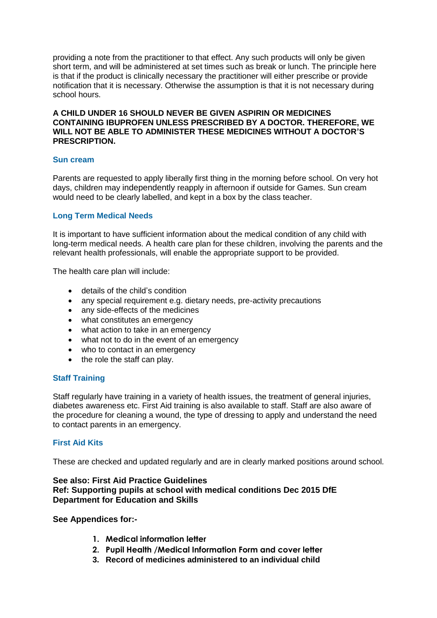providing a note from the practitioner to that effect. Any such products will only be given short term, and will be administered at set times such as break or lunch. The principle here is that if the product is clinically necessary the practitioner will either prescribe or provide notification that it is necessary. Otherwise the assumption is that it is not necessary during school hours.

#### **A CHILD UNDER 16 SHOULD NEVER BE GIVEN ASPIRIN OR MEDICINES CONTAINING IBUPROFEN UNLESS PRESCRIBED BY A DOCTOR. THEREFORE, WE WILL NOT BE ABLE TO ADMINISTER THESE MEDICINES WITHOUT A DOCTOR'S PRESCRIPTION.**

# **Sun cream**

Parents are requested to apply liberally first thing in the morning before school. On very hot days, children may independently reapply in afternoon if outside for Games. Sun cream would need to be clearly labelled, and kept in a box by the class teacher.

#### **Long Term Medical Needs**

It is important to have sufficient information about the medical condition of any child with long-term medical needs. A health care plan for these children, involving the parents and the relevant health professionals, will enable the appropriate support to be provided.

The health care plan will include:

- details of the child's condition
- any special requirement e.g. dietary needs, pre-activity precautions
- any side-effects of the medicines
- what constitutes an emergency
- what action to take in an emergency
- what not to do in the event of an emergency
- who to contact in an emergency
- the role the staff can play.

#### **Staff Training**

Staff regularly have training in a variety of health issues, the treatment of general injuries, diabetes awareness etc. First Aid training is also available to staff. Staff are also aware of the procedure for cleaning a wound, the type of dressing to apply and understand the need to contact parents in an emergency.

# **First Aid Kits**

These are checked and updated regularly and are in clearly marked positions around school.

# **See also: First Aid Practice Guidelines Ref: Supporting pupils at school with medical conditions Dec 2015 DfE Department for Education and Skills**

#### **See Appendices for:-**

- **1. Medical information letter**
- **2. Pupil Health /Medical Information Form and cover letter**
- **3. Record of medicines administered to an individual child**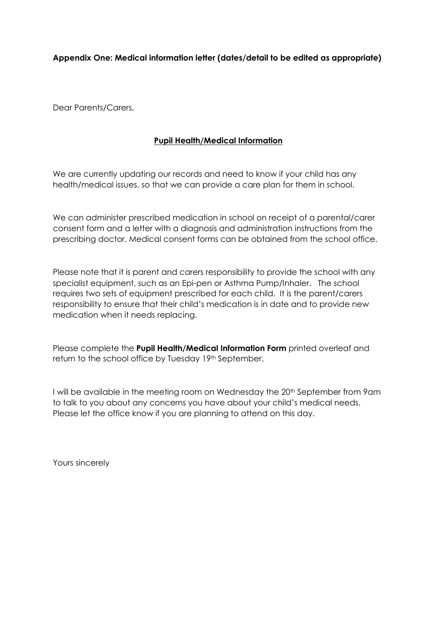# **Appendix One: Medical information letter (dates/detail to be edited as appropriate)**

Dear Parents/Carers,

# **Pupil Health/Medical Information**

We are currently updating our records and need to know if your child has any health/medical issues, so that we can provide a care plan for them in school.

We can administer prescribed medication in school on receipt of a parental/carer consent form and a letter with a diagnosis and administration instructions from the prescribing doctor. Medical consent forms can be obtained from the school office.

Please note that it is parent and carers responsibility to provide the school with any specialist equipment, such as an Epi-pen or Asthma Pump/Inhaler. The school requires two sets of equipment prescribed for each child. It is the parent/carers responsibility to ensure that their child's medication is in date and to provide new medication when it needs replacing.

Please complete the **Pupil Health/Medical Information Form** printed overleaf and return to the school office by Tuesday 19<sup>th</sup> September.

I will be available in the meeting room on Wednesday the 20<sup>th</sup> September from 9am to talk to you about any concerns you have about your child's medical needs. Please let the office know if you are planning to attend on this day.

Yours sincerely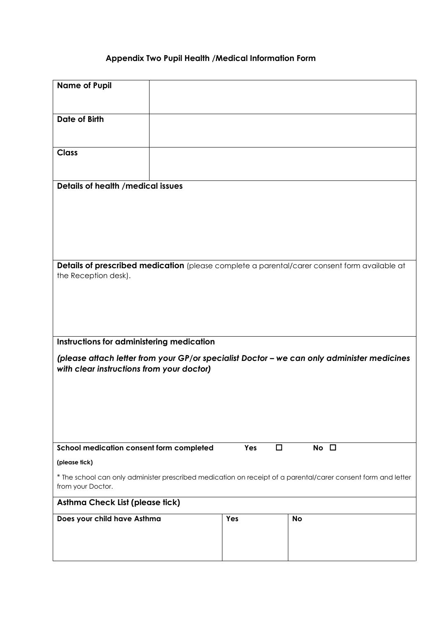# **Appendix Two Pupil Health /Medical Information Form**

| <b>Name of Pupil</b>                                                                   |  |               |                                                                                                               |  |  |  |
|----------------------------------------------------------------------------------------|--|---------------|---------------------------------------------------------------------------------------------------------------|--|--|--|
| <b>Date of Birth</b>                                                                   |  |               |                                                                                                               |  |  |  |
| <b>Class</b>                                                                           |  |               |                                                                                                               |  |  |  |
| <b>Details of health /medical issues</b>                                               |  |               |                                                                                                               |  |  |  |
| the Reception desk).                                                                   |  |               | Details of prescribed medication (please complete a parental/carer consent form available at                  |  |  |  |
| Instructions for administering medication<br>with clear instructions from your doctor) |  |               | (please attach letter from your GP/or specialist Doctor - we can only administer medicines                    |  |  |  |
| School medication consent form completed                                               |  | Yes<br>$\Box$ | No $\square$                                                                                                  |  |  |  |
| (please tick)<br>from your Doctor.                                                     |  |               | * The school can only administer prescribed medication on receipt of a parental/carer consent form and letter |  |  |  |
| Asthma Check List (please tick)                                                        |  |               |                                                                                                               |  |  |  |
| Does your child have Asthma                                                            |  | Yes           | <b>No</b>                                                                                                     |  |  |  |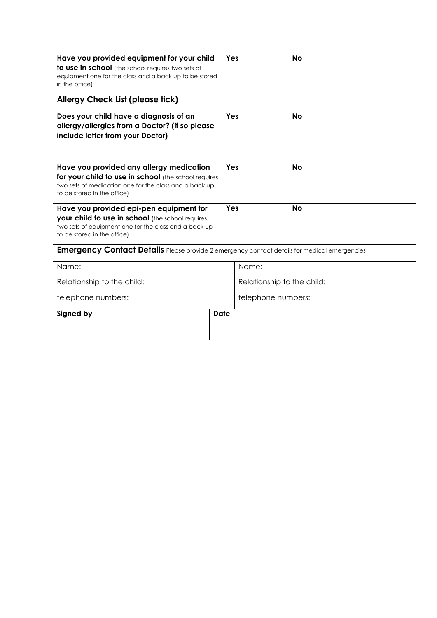| Have you provided equipment for your child<br><b>to use in school</b> (the school requires two sets of<br>equipment one for the class and a back up to be stored<br>in the office)        | Yes  |                            | <b>No</b> |
|-------------------------------------------------------------------------------------------------------------------------------------------------------------------------------------------|------|----------------------------|-----------|
| <b>Allergy Check List (please tick)</b>                                                                                                                                                   |      |                            |           |
| Does your child have a diagnosis of an<br>allergy/allergies from a Doctor? (if so please<br>include letter from your Doctor)                                                              |      | Yes                        | <b>No</b> |
| Have you provided any allergy medication<br>for your child to use in school (the school requires<br>two sets of medication one for the class and a back up<br>to be stored in the office) |      | Yes                        | <b>No</b> |
| Have you provided epi-pen equipment for<br>your child to use in school (the school requires<br>two sets of equipment one for the class and a back up<br>to be stored in the office)       |      | Yes                        | <b>No</b> |
| <b>Emergency Contact Details</b> Please provide 2 emergency contact details for medical emergencies                                                                                       |      |                            |           |
| Name:                                                                                                                                                                                     |      | Name:                      |           |
| Relationship to the child:                                                                                                                                                                |      | Relationship to the child: |           |
| telephone numbers:                                                                                                                                                                        |      | telephone numbers:         |           |
| Signed by                                                                                                                                                                                 | Date |                            |           |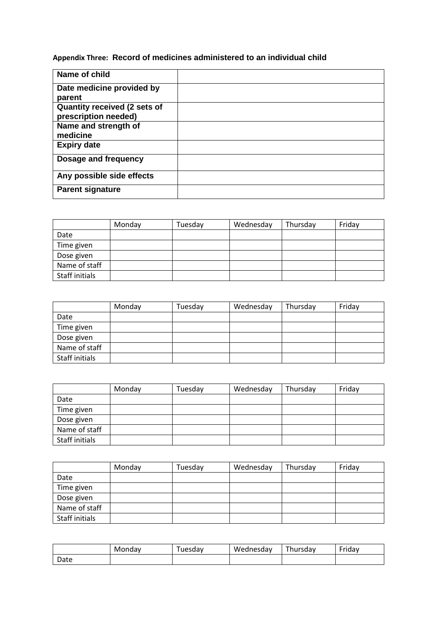**Appendix Three: Record of medicines administered to an individual child**

| Name of child                |  |
|------------------------------|--|
| Date medicine provided by    |  |
| parent                       |  |
| Quantity received (2 sets of |  |
| prescription needed)         |  |
| Name and strength of         |  |
| medicine                     |  |
| <b>Expiry date</b>           |  |
| Dosage and frequency         |  |
| Any possible side effects    |  |
| <b>Parent signature</b>      |  |

|                | Monday | Tuesday | Wednesday | Thursday | Friday |
|----------------|--------|---------|-----------|----------|--------|
| Date           |        |         |           |          |        |
| Time given     |        |         |           |          |        |
| Dose given     |        |         |           |          |        |
| Name of staff  |        |         |           |          |        |
| Staff initials |        |         |           |          |        |

|                | Monday | Tuesday | Wednesday | Thursday | Friday |
|----------------|--------|---------|-----------|----------|--------|
| Date           |        |         |           |          |        |
| Time given     |        |         |           |          |        |
| Dose given     |        |         |           |          |        |
| Name of staff  |        |         |           |          |        |
| Staff initials |        |         |           |          |        |

|                | Monday | Tuesday | Wednesday | Thursday | Friday |
|----------------|--------|---------|-----------|----------|--------|
| Date           |        |         |           |          |        |
| Time given     |        |         |           |          |        |
| Dose given     |        |         |           |          |        |
| Name of staff  |        |         |           |          |        |
| Staff initials |        |         |           |          |        |

|                | Monday | Tuesday | Wednesday | Thursday | Friday |
|----------------|--------|---------|-----------|----------|--------|
| Date           |        |         |           |          |        |
| Time given     |        |         |           |          |        |
| Dose given     |        |         |           |          |        |
| Name of staff  |        |         |           |          |        |
| Staff initials |        |         |           |          |        |

|      | Mondav | uesday | Wednesdav | --<br>้ hursdav | $ \cdot$<br>Fridav |
|------|--------|--------|-----------|-----------------|--------------------|
| Date |        |        |           |                 |                    |